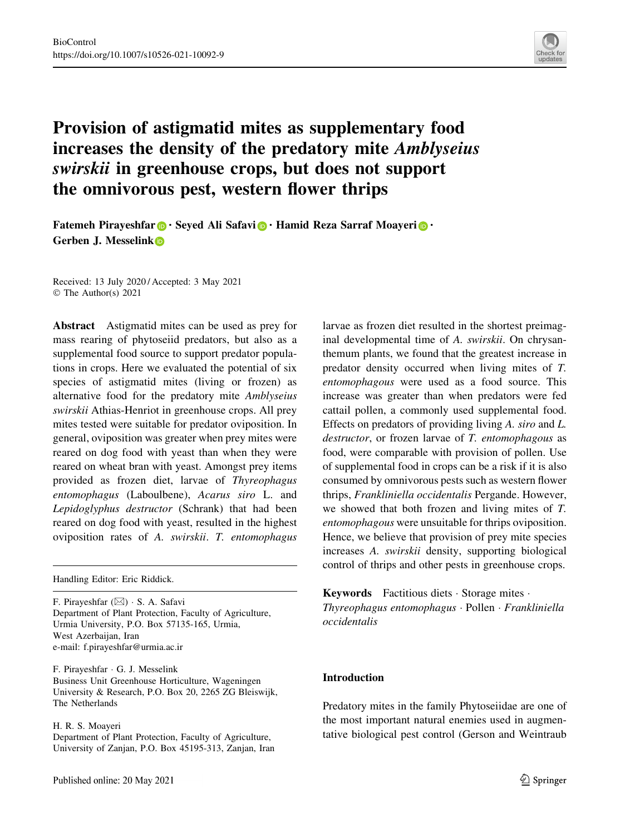

# Provision of astigmatid mites as supplementary food increases the density of the predatory mite Amblyseius swirskii in greenhouse crops, but does not support the omnivorous pest, western flower thrips

Fatemeh Pirayeshfar **.** Seyed Ali Safavi **.** Hamid Reza Sarraf Moayeri **.** • Gerben J. Messelink

Received: 13 July 2020 / Accepted: 3 May 2021 © The Author(s) 2021

Abstract Astigmatid mites can be used as prey for mass rearing of phytoseiid predators, but also as a supplemental food source to support predator populations in crops. Here we evaluated the potential of six species of astigmatid mites (living or frozen) as alternative food for the predatory mite Amblyseius swirskii Athias-Henriot in greenhouse crops. All prey mites tested were suitable for predator oviposition. In general, oviposition was greater when prey mites were reared on dog food with yeast than when they were reared on wheat bran with yeast. Amongst prey items provided as frozen diet, larvae of Thyreophagus entomophagus (Laboulbene), Acarus siro L. and Lepidoglyphus destructor (Schrank) that had been reared on dog food with yeast, resulted in the highest oviposition rates of A. swirskii. T. entomophagus

Handling Editor: Eric Riddick.

F. Pirayeshfar (⊠) · S. A. Safavi Department of Plant Protection, Faculty of Agriculture, Urmia University, P.O. Box 57135-165, Urmia, West Azerbaijan, Iran e-mail: f.pirayeshfar@urmia.ac.ir

F. Pirayeshfar - G. J. Messelink Business Unit Greenhouse Horticulture, Wageningen University & Research, P.O. Box 20, 2265 ZG Bleiswijk, The Netherlands

#### H. R. S. Moayeri

Department of Plant Protection, Faculty of Agriculture, University of Zanjan, P.O. Box 45195-313, Zanjan, Iran larvae as frozen diet resulted in the shortest preimaginal developmental time of A. swirskii. On chrysanthemum plants, we found that the greatest increase in predator density occurred when living mites of T. entomophagous were used as a food source. This increase was greater than when predators were fed cattail pollen, a commonly used supplemental food. Effects on predators of providing living A. siro and L. destructor, or frozen larvae of T. entomophagous as food, were comparable with provision of pollen. Use of supplemental food in crops can be a risk if it is also consumed by omnivorous pests such as western flower thrips, Frankliniella occidentalis Pergande. However, we showed that both frozen and living mites of T. entomophagous were unsuitable for thrips oviposition. Hence, we believe that provision of prey mite species increases A. swirskii density, supporting biological control of thrips and other pests in greenhouse crops.

Keywords Factitious diets - Storage mites - Thyreophagus entomophagus - Pollen - Frankliniella occidentalis

# Introduction

Predatory mites in the family Phytoseiidae are one of the most important natural enemies used in augmentative biological pest control (Gerson and Weintraub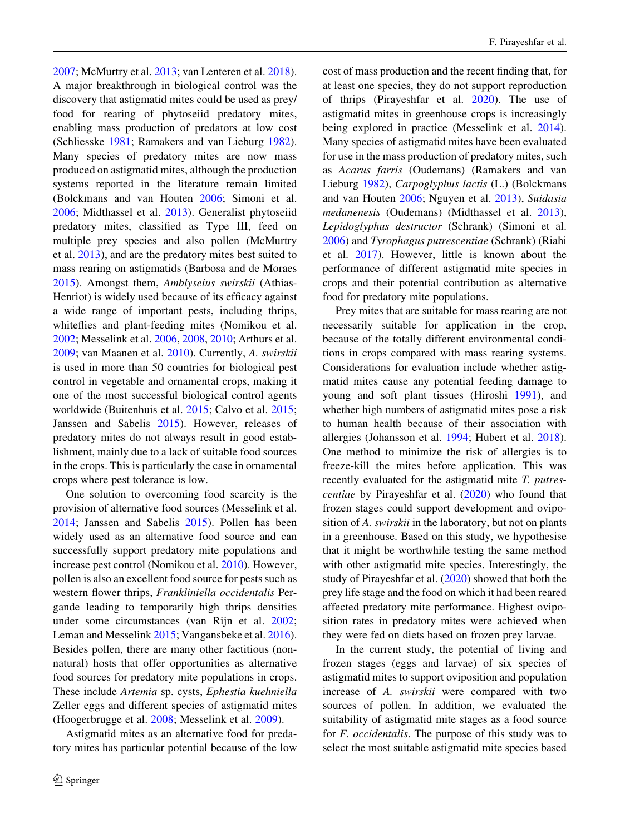[2007;](#page-9-0) McMurtry et al. [2013](#page-10-0); van Lenteren et al. [2018](#page-11-0)). A major breakthrough in biological control was the discovery that astigmatid mites could be used as prey/ food for rearing of phytoseiid predatory mites, enabling mass production of predators at low cost (Schliesske [1981;](#page-10-0) Ramakers and van Lieburg [1982](#page-10-0)). Many species of predatory mites are now mass produced on astigmatid mites, although the production systems reported in the literature remain limited (Bolckmans and van Houten [2006](#page-9-0); Simoni et al. [2006;](#page-10-0) Midthassel et al. [2013\)](#page-10-0). Generalist phytoseiid predatory mites, classified as Type III, feed on multiple prey species and also pollen (McMurtry et al. [2013\)](#page-10-0), and are the predatory mites best suited to mass rearing on astigmatids (Barbosa and de Moraes [2015\)](#page-9-0). Amongst them, Amblyseius swirskii (Athias-Henriot) is widely used because of its efficacy against a wide range of important pests, including thrips, whiteflies and plant-feeding mites (Nomikou et al. [2002;](#page-10-0) Messelink et al. [2006](#page-10-0), [2008,](#page-10-0) [2010](#page-10-0); Arthurs et al. [2009;](#page-9-0) van Maanen et al. [2010](#page-11-0)). Currently, A. swirskii is used in more than 50 countries for biological pest control in vegetable and ornamental crops, making it one of the most successful biological control agents worldwide (Buitenhuis et al. [2015](#page-9-0); Calvo et al. [2015](#page-9-0); Janssen and Sabelis [2015\)](#page-10-0). However, releases of predatory mites do not always result in good establishment, mainly due to a lack of suitable food sources in the crops. This is particularly the case in ornamental crops where pest tolerance is low.

One solution to overcoming food scarcity is the provision of alternative food sources (Messelink et al. [2014;](#page-10-0) Janssen and Sabelis [2015](#page-10-0)). Pollen has been widely used as an alternative food source and can successfully support predatory mite populations and increase pest control (Nomikou et al. [2010](#page-10-0)). However, pollen is also an excellent food source for pests such as western flower thrips, Frankliniella occidentalis Pergande leading to temporarily high thrips densities under some circumstances (van Rijn et al. [2002](#page-11-0); Leman and Messelink [2015;](#page-10-0) Vangansbeke et al. [2016](#page-11-0)). Besides pollen, there are many other factitious (nonnatural) hosts that offer opportunities as alternative food sources for predatory mite populations in crops. These include Artemia sp. cysts, Ephestia kuehniella Zeller eggs and different species of astigmatid mites (Hoogerbrugge et al. [2008](#page-9-0); Messelink et al. [2009](#page-10-0)).

Astigmatid mites as an alternative food for predatory mites has particular potential because of the low cost of mass production and the recent finding that, for at least one species, they do not support reproduction of thrips (Pirayeshfar et al. [2020](#page-10-0)). The use of astigmatid mites in greenhouse crops is increasingly being explored in practice (Messelink et al. [2014](#page-10-0)). Many species of astigmatid mites have been evaluated for use in the mass production of predatory mites, such as Acarus farris (Oudemans) (Ramakers and van Lieburg [1982\)](#page-10-0), Carpoglyphus lactis (L.) (Bolckmans and van Houten [2006;](#page-9-0) Nguyen et al. [2013\)](#page-10-0), Suidasia medanenesis (Oudemans) (Midthassel et al. [2013](#page-10-0)), Lepidoglyphus destructor (Schrank) (Simoni et al. [2006\)](#page-10-0) and Tyrophagus putrescentiae (Schrank) (Riahi et al. [2017\)](#page-10-0). However, little is known about the performance of different astigmatid mite species in crops and their potential contribution as alternative food for predatory mite populations.

Prey mites that are suitable for mass rearing are not necessarily suitable for application in the crop, because of the totally different environmental conditions in crops compared with mass rearing systems. Considerations for evaluation include whether astigmatid mites cause any potential feeding damage to young and soft plant tissues (Hiroshi [1991](#page-9-0)), and whether high numbers of astigmatid mites pose a risk to human health because of their association with allergies (Johansson et al. [1994;](#page-10-0) Hubert et al. [2018](#page-9-0)). One method to minimize the risk of allergies is to freeze-kill the mites before application. This was recently evaluated for the astigmatid mite T. putrescentiae by Pirayeshfar et al. ([2020\)](#page-10-0) who found that frozen stages could support development and oviposition of A. swirskii in the laboratory, but not on plants in a greenhouse. Based on this study, we hypothesise that it might be worthwhile testing the same method with other astigmatid mite species. Interestingly, the study of Pirayeshfar et al. [\(2020](#page-10-0)) showed that both the prey life stage and the food on which it had been reared affected predatory mite performance. Highest oviposition rates in predatory mites were achieved when they were fed on diets based on frozen prey larvae.

In the current study, the potential of living and frozen stages (eggs and larvae) of six species of astigmatid mites to support oviposition and population increase of A. swirskii were compared with two sources of pollen. In addition, we evaluated the suitability of astigmatid mite stages as a food source for F. occidentalis. The purpose of this study was to select the most suitable astigmatid mite species based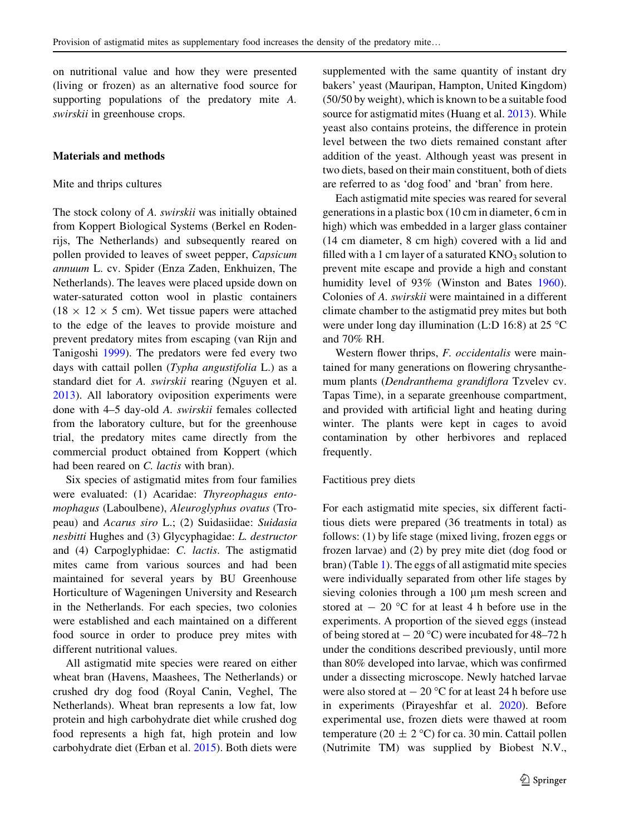on nutritional value and how they were presented (living or frozen) as an alternative food source for supporting populations of the predatory mite A. swirskii in greenhouse crops.

## Materials and methods

## Mite and thrips cultures

The stock colony of A. swirskii was initially obtained from Koppert Biological Systems (Berkel en Rodenrijs, The Netherlands) and subsequently reared on pollen provided to leaves of sweet pepper, Capsicum annuum L. cv. Spider (Enza Zaden, Enkhuizen, The Netherlands). The leaves were placed upside down on water-saturated cotton wool in plastic containers  $(18 \times 12 \times 5$  cm). Wet tissue papers were attached to the edge of the leaves to provide moisture and prevent predatory mites from escaping (van Rijn and Tanigoshi [1999\)](#page-11-0). The predators were fed every two days with cattail pollen (Typha angustifolia L.) as a standard diet for A. swirskii rearing (Nguyen et al. [2013\)](#page-10-0). All laboratory oviposition experiments were done with 4–5 day-old A. swirskii females collected from the laboratory culture, but for the greenhouse trial, the predatory mites came directly from the commercial product obtained from Koppert (which had been reared on *C. lactis* with bran).

Six species of astigmatid mites from four families were evaluated: (1) Acaridae: Thyreophagus entomophagus (Laboulbene), Aleuroglyphus ovatus (Tropeau) and Acarus siro L.; (2) Suidasiidae: Suidasia nesbitti Hughes and (3) Glycyphagidae: L. destructor and (4) Carpoglyphidae: C. lactis. The astigmatid mites came from various sources and had been maintained for several years by BU Greenhouse Horticulture of Wageningen University and Research in the Netherlands. For each species, two colonies were established and each maintained on a different food source in order to produce prey mites with different nutritional values.

All astigmatid mite species were reared on either wheat bran (Havens, Maashees, The Netherlands) or crushed dry dog food (Royal Canin, Veghel, The Netherlands). Wheat bran represents a low fat, low protein and high carbohydrate diet while crushed dog food represents a high fat, high protein and low carbohydrate diet (Erban et al. [2015\)](#page-9-0). Both diets were supplemented with the same quantity of instant dry bakers' yeast (Mauripan, Hampton, United Kingdom) (50/50 by weight), which is known to be a suitable food source for astigmatid mites (Huang et al. [2013\)](#page-9-0). While yeast also contains proteins, the difference in protein level between the two diets remained constant after addition of the yeast. Although yeast was present in two diets, based on their main constituent, both of diets are referred to as 'dog food' and 'bran' from here.

Each astigmatid mite species was reared for several generations in a plastic box (10 cm in diameter, 6 cm in high) which was embedded in a larger glass container (14 cm diameter, 8 cm high) covered with a lid and filled with a 1 cm layer of a saturated  $KNO_3$  solution to prevent mite escape and provide a high and constant humidity level of 93% (Winston and Bates [1960](#page-11-0)). Colonies of A. swirskii were maintained in a different climate chamber to the astigmatid prey mites but both were under long day illumination (L:D 16:8) at 25  $\mathrm{^{\circ}C}$ and 70% RH.

Western flower thrips, *F. occidentalis* were maintained for many generations on flowering chrysanthemum plants (Dendranthema grandiflora Tzvelev cv. Tapas Time), in a separate greenhouse compartment, and provided with artificial light and heating during winter. The plants were kept in cages to avoid contamination by other herbivores and replaced frequently.

#### Factitious prey diets

For each astigmatid mite species, six different factitious diets were prepared (36 treatments in total) as follows: (1) by life stage (mixed living, frozen eggs or frozen larvae) and (2) by prey mite diet (dog food or bran) (Table [1\)](#page-3-0). The eggs of all astigmatid mite species were individually separated from other life stages by sieving colonies through a 100 µm mesh screen and stored at  $-20$  °C for at least 4 h before use in the experiments. A proportion of the sieved eggs (instead of being stored at  $-20$  °C) were incubated for 48–72 h under the conditions described previously, until more than 80% developed into larvae, which was confirmed under a dissecting microscope. Newly hatched larvae were also stored at  $-20$  °C for at least 24 h before use in experiments (Pirayeshfar et al. [2020\)](#page-10-0). Before experimental use, frozen diets were thawed at room temperature (20  $\pm$  2 °C) for ca. 30 min. Cattail pollen (Nutrimite TM) was supplied by Biobest N.V.,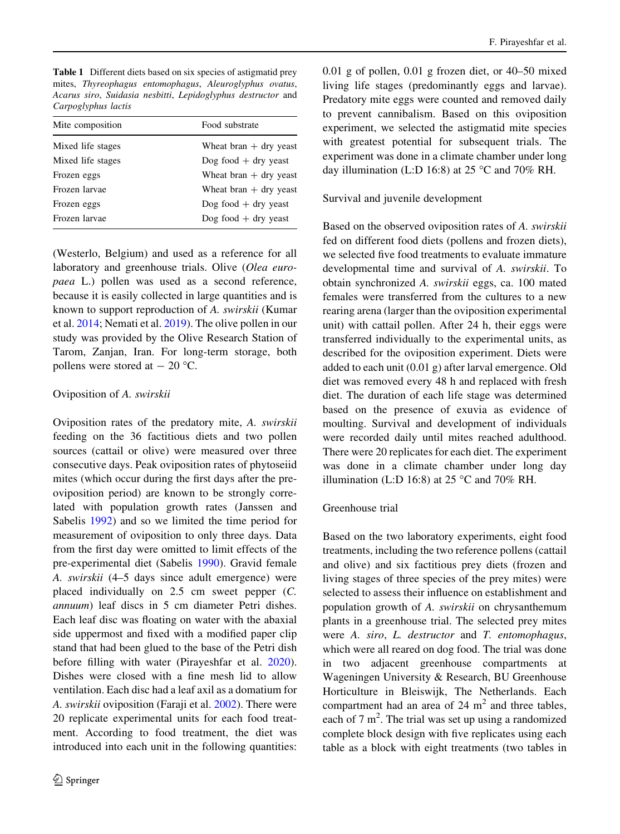<span id="page-3-0"></span>Table 1 Different diets based on six species of astigmatid prey mites, Thyreophagus entomophagus, Aleuroglyphus ovatus, Acarus siro, Suidasia nesbitti, Lepidoglyphus destructor and Carpoglyphus lactis

| Mite composition  | Food substrate           |
|-------------------|--------------------------|
| Mixed life stages | Wheat bran $+$ dry yeast |
| Mixed life stages | Dog food $+$ dry yeast   |
| Frozen eggs       | Wheat bran $+$ dry yeast |
| Frozen larvae     | Wheat bran $+$ dry yeast |
| Frozen eggs       | Dog food $+$ dry yeast   |
| Frozen larvae     | Dog food $+$ dry yeast   |
|                   |                          |

(Westerlo, Belgium) and used as a reference for all laboratory and greenhouse trials. Olive (Olea europaea L.) pollen was used as a second reference, because it is easily collected in large quantities and is known to support reproduction of A. swirskii (Kumar et al. [2014;](#page-10-0) Nemati et al. [2019\)](#page-10-0). The olive pollen in our study was provided by the Olive Research Station of Tarom, Zanjan, Iran. For long-term storage, both pollens were stored at  $-20$  °C.

## Oviposition of A. swirskii

Oviposition rates of the predatory mite, A. swirskii feeding on the 36 factitious diets and two pollen sources (cattail or olive) were measured over three consecutive days. Peak oviposition rates of phytoseiid mites (which occur during the first days after the preoviposition period) are known to be strongly correlated with population growth rates (Janssen and Sabelis [1992](#page-10-0)) and so we limited the time period for measurement of oviposition to only three days. Data from the first day were omitted to limit effects of the pre-experimental diet (Sabelis [1990\)](#page-10-0). Gravid female A. swirskii (4–5 days since adult emergence) were placed individually on 2.5 cm sweet pepper (C. annuum) leaf discs in 5 cm diameter Petri dishes. Each leaf disc was floating on water with the abaxial side uppermost and fixed with a modified paper clip stand that had been glued to the base of the Petri dish before filling with water (Pirayeshfar et al. [2020](#page-10-0)). Dishes were closed with a fine mesh lid to allow ventilation. Each disc had a leaf axil as a domatium for A. swirskii oviposition (Faraji et al. [2002\)](#page-9-0). There were 20 replicate experimental units for each food treatment. According to food treatment, the diet was introduced into each unit in the following quantities:

0.01 g of pollen, 0.01 g frozen diet, or 40–50 mixed living life stages (predominantly eggs and larvae). Predatory mite eggs were counted and removed daily to prevent cannibalism. Based on this oviposition experiment, we selected the astigmatid mite species with greatest potential for subsequent trials. The experiment was done in a climate chamber under long day illumination (L:D 16:8) at 25 °C and 70% RH.

Survival and juvenile development

Based on the observed oviposition rates of A. swirskii fed on different food diets (pollens and frozen diets), we selected five food treatments to evaluate immature developmental time and survival of A. swirskii. To obtain synchronized A. swirskii eggs, ca. 100 mated females were transferred from the cultures to a new rearing arena (larger than the oviposition experimental unit) with cattail pollen. After 24 h, their eggs were transferred individually to the experimental units, as described for the oviposition experiment. Diets were added to each unit (0.01 g) after larval emergence. Old diet was removed every 48 h and replaced with fresh diet. The duration of each life stage was determined based on the presence of exuvia as evidence of moulting. Survival and development of individuals were recorded daily until mites reached adulthood. There were 20 replicates for each diet. The experiment was done in a climate chamber under long day illumination (L:D 16:8) at 25  $\degree$ C and 70% RH.

# Greenhouse trial

Based on the two laboratory experiments, eight food treatments, including the two reference pollens (cattail and olive) and six factitious prey diets (frozen and living stages of three species of the prey mites) were selected to assess their influence on establishment and population growth of A. swirskii on chrysanthemum plants in a greenhouse trial. The selected prey mites were A. siro, L. destructor and T. entomophagus, which were all reared on dog food. The trial was done in two adjacent greenhouse compartments at Wageningen University & Research, BU Greenhouse Horticulture in Bleiswijk, The Netherlands. Each compartment had an area of  $24 \text{ m}^2$  and three tables, each of  $7 \text{ m}^2$ . The trial was set up using a randomized complete block design with five replicates using each table as a block with eight treatments (two tables in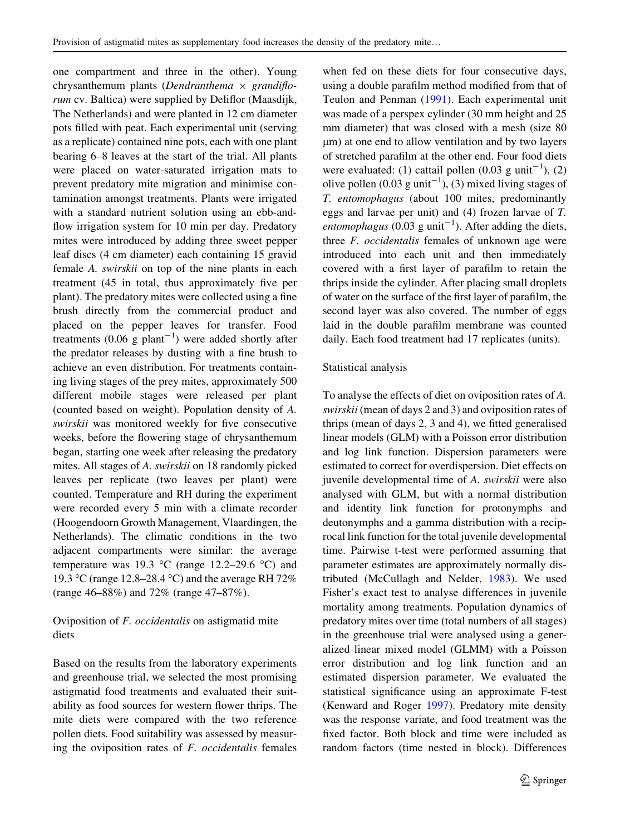one compartment and three in the other). Young chrysanthemum plants (Dendranthema  $\times$  grandiflorum cv. Baltica) were supplied by Deliflor (Maasdijk, The Netherlands) and were planted in 12 cm diameter pots filled with peat. Each experimental unit (serving as a replicate) contained nine pots, each with one plant bearing 6–8 leaves at the start of the trial. All plants were placed on water-saturated irrigation mats to prevent predatory mite migration and minimise contamination amongst treatments. Plants were irrigated with a standard nutrient solution using an ebb-andflow irrigation system for 10 min per day. Predatory mites were introduced by adding three sweet pepper leaf discs (4 cm diameter) each containing 15 gravid female A. swirskii on top of the nine plants in each treatment (45 in total, thus approximately five per plant). The predatory mites were collected using a fine brush directly from the commercial product and placed on the pepper leaves for transfer. Food treatments  $(0.06 \text{ g plant}^{-1})$  were added shortly after the predator releases by dusting with a fine brush to achieve an even distribution. For treatments containing living stages of the prey mites, approximately 500 different mobile stages were released per plant (counted based on weight). Population density of A. swirskii was monitored weekly for five consecutive weeks, before the flowering stage of chrysanthemum began, starting one week after releasing the predatory mites. All stages of A. swirskii on 18 randomly picked leaves per replicate (two leaves per plant) were counted. Temperature and RH during the experiment were recorded every 5 min with a climate recorder (Hoogendoorn Growth Management, Vlaardingen, the Netherlands). The climatic conditions in the two adjacent compartments were similar: the average temperature was 19.3 °C (range 12.2–29.6 °C) and 19.3 °C (range 12.8–28.4 °C) and the average RH 72% (range 46–88%) and 72% (range 47–87%).

# Oviposition of F. occidentalis on astigmatid mite diets

Based on the results from the laboratory experiments and greenhouse trial, we selected the most promising astigmatid food treatments and evaluated their suitability as food sources for western flower thrips. The mite diets were compared with the two reference pollen diets. Food suitability was assessed by measuring the oviposition rates of  $F$ . *occidentalis* females when fed on these diets for four consecutive days, using a double parafilm method modified from that of Teulon and Penman ([1991\)](#page-11-0). Each experimental unit was made of a perspex cylinder (30 mm height and 25 mm diameter) that was closed with a mesh (size 80 um) at one end to allow ventilation and by two layers of stretched parafilm at the other end. Four food diets were evaluated: (1) cattail pollen  $(0.03 \text{ g unit}^{-1})$ , (2) olive pollen  $(0.03 \text{ g unit}^{-1})$ , (3) mixed living stages of T. entomophagus (about 100 mites, predominantly eggs and larvae per unit) and (4) frozen larvae of T. entomophagus (0.03 g unit<sup>-1</sup>). After adding the diets, three F. occidentalis females of unknown age were introduced into each unit and then immediately covered with a first layer of parafilm to retain the thrips inside the cylinder. After placing small droplets of water on the surface of the first layer of parafilm, the second layer was also covered. The number of eggs laid in the double parafilm membrane was counted daily. Each food treatment had 17 replicates (units).

## Statistical analysis

To analyse the effects of diet on oviposition rates of A. swirskii (mean of days 2 and 3) and oviposition rates of thrips (mean of days 2, 3 and 4), we fitted generalised linear models (GLM) with a Poisson error distribution and log link function. Dispersion parameters were estimated to correct for overdispersion. Diet effects on juvenile developmental time of A. swirskii were also analysed with GLM, but with a normal distribution and identity link function for protonymphs and deutonymphs and a gamma distribution with a reciprocal link function for the total juvenile developmental time. Pairwise t-test were performed assuming that parameter estimates are approximately normally distributed (McCullagh and Nelder, [1983](#page-10-0)). We used Fisher's exact test to analyse differences in juvenile mortality among treatments. Population dynamics of predatory mites over time (total numbers of all stages) in the greenhouse trial were analysed using a generalized linear mixed model (GLMM) with a Poisson error distribution and log link function and an estimated dispersion parameter. We evaluated the statistical significance using an approximate F-test (Kenward and Roger [1997](#page-10-0)). Predatory mite density was the response variate, and food treatment was the fixed factor. Both block and time were included as random factors (time nested in block). Differences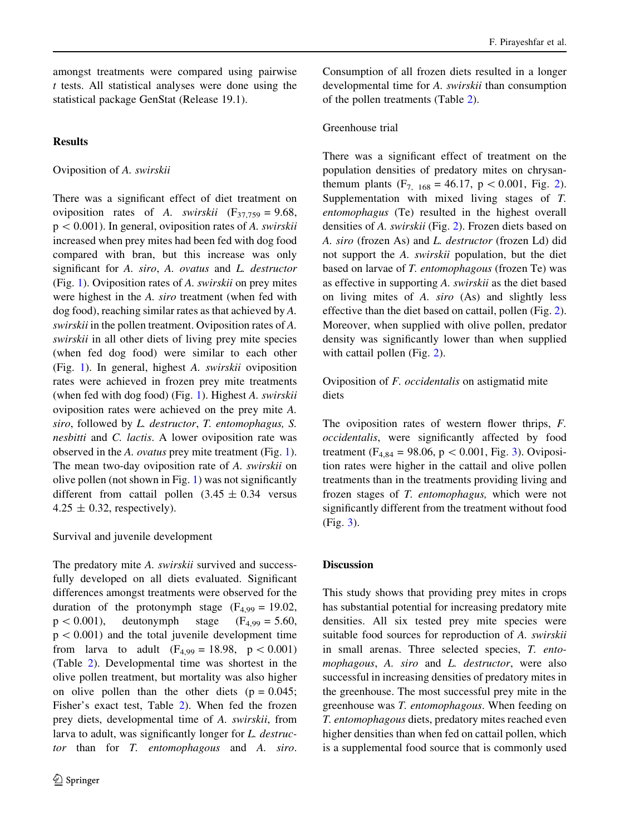amongst treatments were compared using pairwise  $t$  tests. All statistical analyses were done using the statistical package GenStat (Release 19.1).

# **Results**

Oviposition of A. swirskii

There was a significant effect of diet treatment on oviposition rates of A. swirskii  $(F_{37,759} = 9.68,$  $p < 0.001$ ). In general, oviposition rates of A. swirskii increased when prey mites had been fed with dog food compared with bran, but this increase was only significant for A. siro, A. ovatus and L. destructor (Fig. [1](#page-6-0)). Oviposition rates of A. swirskii on prey mites were highest in the A. siro treatment (when fed with dog food), reaching similar rates as that achieved by A. swirskii in the pollen treatment. Oviposition rates of A. swirskii in all other diets of living prey mite species (when fed dog food) were similar to each other (Fig. [1](#page-6-0)). In general, highest A. swirskii oviposition rates were achieved in frozen prey mite treatments (when fed with dog food) (Fig. [1](#page-6-0)). Highest A. swirskii oviposition rates were achieved on the prey mite A. siro, followed by L. destructor, T. entomophagus, S. nesbitti and C. lactis. A lower oviposition rate was observed in the A. ovatus prey mite treatment (Fig. [1](#page-6-0)). The mean two-day oviposition rate of A. swirskii on olive pollen (not shown in Fig. [1\)](#page-6-0) was not significantly different from cattail pollen  $(3.45 \pm 0.34)$  versus  $4.25 \pm 0.32$ , respectively).

# Survival and juvenile development

The predatory mite A. swirskii survived and successfully developed on all diets evaluated. Significant differences amongst treatments were observed for the duration of the protonymph stage  $(F_{4,99} = 19.02)$ ,  $p < 0.001$ ), deutonymph stage (F<sub>4,99</sub> = 5.60,  $p < 0.001$ ) and the total juvenile development time from larva to adult  $(F_{4,99} = 18.98, p < 0.001)$ (Table [2\)](#page-7-0). Developmental time was shortest in the olive pollen treatment, but mortality was also higher on olive pollen than the other diets  $(p = 0.045)$ ; Fisher's exact test, Table [2](#page-7-0)). When fed the frozen prey diets, developmental time of A. swirskii, from larva to adult, was significantly longer for *L. destruc*tor than for T. entomophagous and A. siro.

Consumption of all frozen diets resulted in a longer developmental time for A. swirskii than consumption of the pollen treatments (Table [2](#page-7-0)).

# Greenhouse trial

There was a significant effect of treatment on the population densities of predatory mites on chrysanthemum plants  $(F_{7, 168} = 46.17, p < 0.001, Fig. 2)$  $(F_{7, 168} = 46.17, p < 0.001, Fig. 2)$  $(F_{7, 168} = 46.17, p < 0.001, Fig. 2)$ . Supplementation with mixed living stages of T. entomophagus (Te) resulted in the highest overall densities of A. swirskii (Fig. [2\)](#page-7-0). Frozen diets based on A. siro (frozen As) and L. destructor (frozen Ld) did not support the A. swirskii population, but the diet based on larvae of T. entomophagous (frozen Te) was as effective in supporting A. swirskii as the diet based on living mites of A. siro (As) and slightly less effective than the diet based on cattail, pollen (Fig. [2](#page-7-0)). Moreover, when supplied with olive pollen, predator density was significantly lower than when supplied with cattail pollen (Fig. [2\)](#page-7-0).

Oviposition of F. occidentalis on astigmatid mite diets

The oviposition rates of western flower thrips, F. occidentalis, were significantly affected by food treatment ( $F_{4,84} = 98.06$ ,  $p < 0.001$ , Fig. [3\)](#page-7-0). Oviposition rates were higher in the cattail and olive pollen treatments than in the treatments providing living and frozen stages of T. entomophagus, which were not significantly different from the treatment without food (Fig. [3\)](#page-7-0).

# **Discussion**

This study shows that providing prey mites in crops has substantial potential for increasing predatory mite densities. All six tested prey mite species were suitable food sources for reproduction of A. swirskii in small arenas. Three selected species, T. entomophagous, A. siro and L. destructor, were also successful in increasing densities of predatory mites in the greenhouse. The most successful prey mite in the greenhouse was T. entomophagous. When feeding on T. entomophagous diets, predatory mites reached even higher densities than when fed on cattail pollen, which is a supplemental food source that is commonly used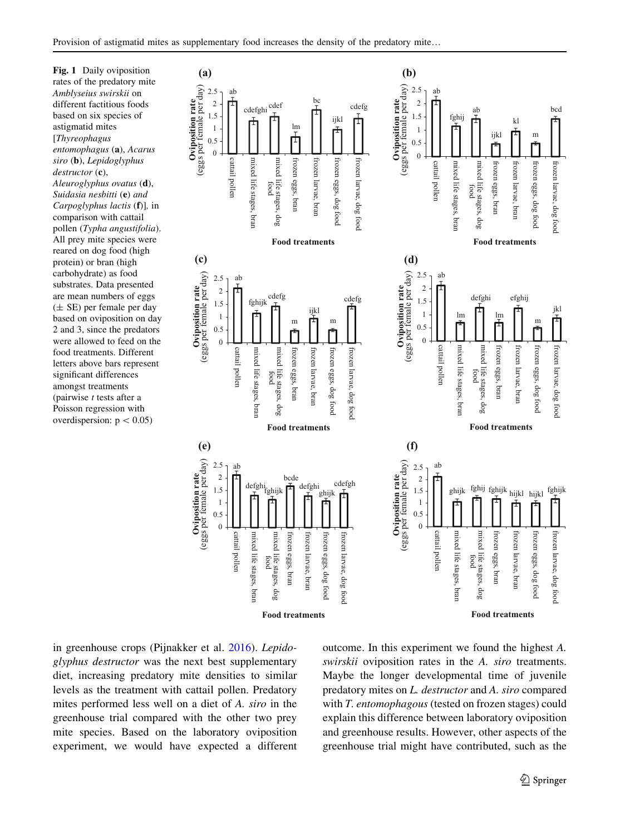<span id="page-6-0"></span>Fig. 1 Daily oviposition rates of the predatory mite Amblyseius swirskii on different factitious foods based on six species of astigmatid mites [Thyreophagus entomophagus (a), Acarus siro (b), Lepidoglyphus destructor (c). Aleuroglyphus ovatus (d), Suidasia nesbitti (e) and Carpoglyphus lactis (f)], in comparison with cattail pollen (Typha angustifolia). All prey mite species were reared on dog food (high protein) or bran (high carbohydrate) as food substrates. Data presented are mean numbers of eggs  $(\pm \text{ SE})$  per female per day based on oviposition on day 2 and 3, since the predators were allowed to feed on the food treatments. Different letters above bars represent significant differences amongst treatments (pairwise  $t$  tests after a Poisson regression with overdispersion:  $p < 0.05$ )



in greenhouse crops (Pijnakker et al. [2016\)](#page-10-0). Lepidoglyphus destructor was the next best supplementary diet, increasing predatory mite densities to similar levels as the treatment with cattail pollen. Predatory mites performed less well on a diet of A. siro in the greenhouse trial compared with the other two prey mite species. Based on the laboratory oviposition experiment, we would have expected a different outcome. In this experiment we found the highest A. swirskii oviposition rates in the A. siro treatments. Maybe the longer developmental time of juvenile predatory mites on L. destructor and A. siro compared with T. entomophagous (tested on frozen stages) could explain this difference between laboratory oviposition and greenhouse results. However, other aspects of the greenhouse trial might have contributed, such as the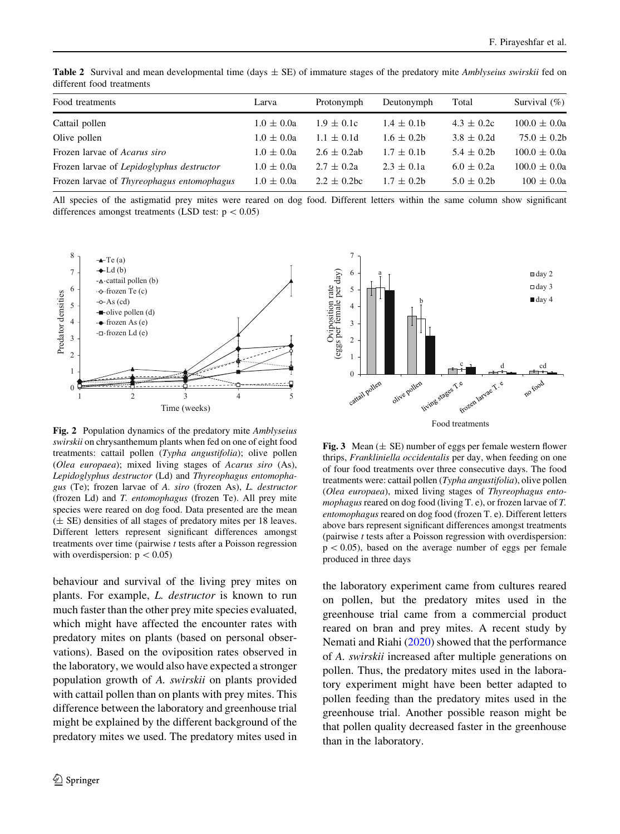<span id="page-7-0"></span>**Table 2** Survival and mean developmental time (days  $\pm$  SE) of immature stages of the predatory mite *Amblyseius swirskii* fed on different food treatments

| Food treatments                            | Larva          | Protonymph                  | Deutonymph      | Total          | Survival $(\%)$  |
|--------------------------------------------|----------------|-----------------------------|-----------------|----------------|------------------|
| Cattail pollen                             | $1.0 \pm 0.0a$ | $1.9 \pm 0.1c$              | $1.4 \pm 0.1$ h | $4.3 \pm 0.2c$ | $100.0 \pm 0.0a$ |
| Olive pollen                               | $1.0 \pm 0.0a$ | $1.1 \pm 0.1d$              | $1.6 \pm 0.2$   | $3.8 \pm 0.2d$ | $75.0 \pm 0.2b$  |
| Frozen larvae of <i>Acarus siro</i>        | $1.0 \pm 0.0a$ | $2.6 \pm 0.2$ ab            | $1.7 \pm 0.1$ h | $5.4 \pm 0.2$  | $100.0 \pm 0.0a$ |
| Frozen larvae of Lepidoglyphus destructor  | $1.0 \pm 0.0a$ | $2.7 \pm 0.2a$              | $2.3 \pm 0.1a$  | $6.0 \pm 0.2a$ | $100.0 \pm 0.0a$ |
| Frozen larvae of Thyreophagus entomophagus | $1.0 \pm 0.0a$ | $2.2 \pm 0.2$ <sub>bc</sub> | $1.7 \pm 0.2$   | $5.0 \pm 0.2$  | $100 \pm 0.0a$   |
|                                            |                |                             |                 |                |                  |

All species of the astigmatid prey mites were reared on dog food. Different letters within the same column show significant differences amongst treatments (LSD test:  $p < 0.05$ )



Fig. 2 Population dynamics of the predatory mite Amblyseius swirskii on chrysanthemum plants when fed on one of eight food treatments: cattail pollen (Typha angustifolia); olive pollen (Olea europaea); mixed living stages of Acarus siro (As), Lepidoglyphus destructor (Ld) and Thyreophagus entomophagus (Te); frozen larvae of A. siro (frozen As), L. destructor (frozen Ld) and T. entomophagus (frozen Te). All prey mite species were reared on dog food. Data presented are the mean (± SE) densities of all stages of predatory mites per 18 leaves. Different letters represent significant differences amongst treatments over time (pairwise t tests after a Poisson regression with overdispersion:  $p < 0.05$ )

behaviour and survival of the living prey mites on plants. For example, L. destructor is known to run much faster than the other prey mite species evaluated, which might have affected the encounter rates with predatory mites on plants (based on personal observations). Based on the oviposition rates observed in the laboratory, we would also have expected a stronger population growth of A. swirskii on plants provided with cattail pollen than on plants with prey mites. This difference between the laboratory and greenhouse trial might be explained by the different background of the predatory mites we used. The predatory mites used in



Fig. 3 Mean  $(\pm \text{ SE})$  number of eggs per female western flower thrips, Frankliniella occidentalis per day, when feeding on one of four food treatments over three consecutive days. The food treatments were: cattail pollen (Typha angustifolia), olive pollen (Olea europaea), mixed living stages of Thyreophagus entomophagus reared on dog food (living T. e), or frozen larvae of T. entomophagus reared on dog food (frozen T. e). Different letters above bars represent significant differences amongst treatments (pairwise t tests after a Poisson regression with overdispersion:  $p < 0.05$ ), based on the average number of eggs per female produced in three days

the laboratory experiment came from cultures reared on pollen, but the predatory mites used in the greenhouse trial came from a commercial product reared on bran and prey mites. A recent study by Nemati and Riahi [\(2020](#page-10-0)) showed that the performance of A. swirskii increased after multiple generations on pollen. Thus, the predatory mites used in the laboratory experiment might have been better adapted to pollen feeding than the predatory mites used in the greenhouse trial. Another possible reason might be that pollen quality decreased faster in the greenhouse than in the laboratory.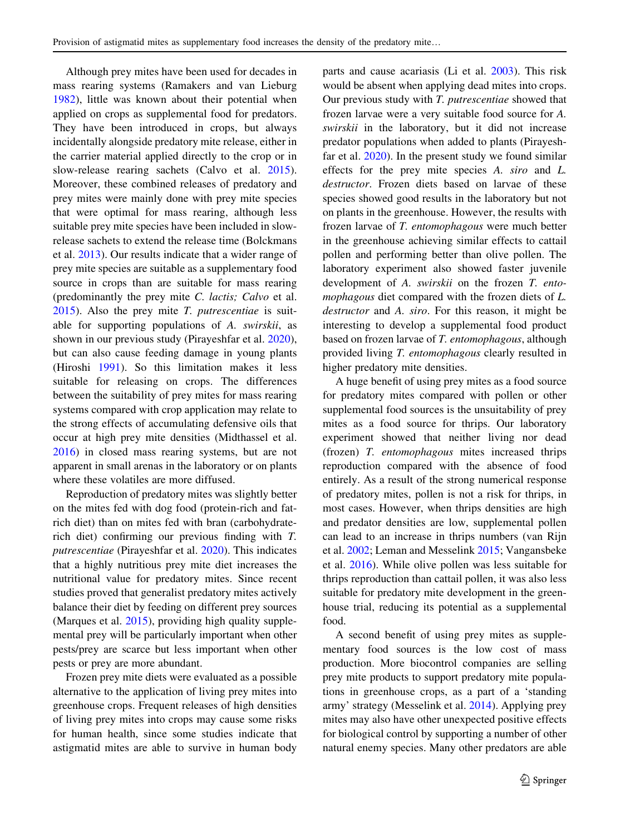Although prey mites have been used for decades in mass rearing systems (Ramakers and van Lieburg [1982\)](#page-10-0), little was known about their potential when applied on crops as supplemental food for predators. They have been introduced in crops, but always incidentally alongside predatory mite release, either in the carrier material applied directly to the crop or in slow-release rearing sachets (Calvo et al. [2015](#page-9-0)). Moreover, these combined releases of predatory and prey mites were mainly done with prey mite species that were optimal for mass rearing, although less suitable prey mite species have been included in slowrelease sachets to extend the release time (Bolckmans et al. [2013](#page-9-0)). Our results indicate that a wider range of prey mite species are suitable as a supplementary food source in crops than are suitable for mass rearing (predominantly the prey mite C. lactis; Calvo et al.  $2015$ ). Also the prey mite *T. putrescentiae* is suitable for supporting populations of A. swirskii, as shown in our previous study (Pirayeshfar et al. [2020](#page-10-0)), but can also cause feeding damage in young plants (Hiroshi [1991\)](#page-9-0). So this limitation makes it less suitable for releasing on crops. The differences between the suitability of prey mites for mass rearing systems compared with crop application may relate to the strong effects of accumulating defensive oils that occur at high prey mite densities (Midthassel et al. [2016\)](#page-10-0) in closed mass rearing systems, but are not apparent in small arenas in the laboratory or on plants where these volatiles are more diffused.

Reproduction of predatory mites was slightly better on the mites fed with dog food (protein-rich and fatrich diet) than on mites fed with bran (carbohydraterich diet) confirming our previous finding with T. putrescentiae (Pirayeshfar et al. [2020\)](#page-10-0). This indicates that a highly nutritious prey mite diet increases the nutritional value for predatory mites. Since recent studies proved that generalist predatory mites actively balance their diet by feeding on different prey sources (Marques et al. [2015\)](#page-10-0), providing high quality supplemental prey will be particularly important when other pests/prey are scarce but less important when other pests or prey are more abundant.

Frozen prey mite diets were evaluated as a possible alternative to the application of living prey mites into greenhouse crops. Frequent releases of high densities of living prey mites into crops may cause some risks for human health, since some studies indicate that astigmatid mites are able to survive in human body

parts and cause acariasis (Li et al. [2003\)](#page-10-0). This risk would be absent when applying dead mites into crops. Our previous study with T. putrescentiae showed that frozen larvae were a very suitable food source for A. swirskii in the laboratory, but it did not increase predator populations when added to plants (Pirayeshfar et al. [2020](#page-10-0)). In the present study we found similar effects for the prey mite species A. siro and L. destructor. Frozen diets based on larvae of these species showed good results in the laboratory but not on plants in the greenhouse. However, the results with frozen larvae of T. entomophagous were much better in the greenhouse achieving similar effects to cattail pollen and performing better than olive pollen. The laboratory experiment also showed faster juvenile development of A. swirskii on the frozen T. entomophagous diet compared with the frozen diets of L. destructor and A. siro. For this reason, it might be interesting to develop a supplemental food product based on frozen larvae of T. entomophagous, although provided living T. entomophagous clearly resulted in higher predatory mite densities.

A huge benefit of using prey mites as a food source for predatory mites compared with pollen or other supplemental food sources is the unsuitability of prey mites as a food source for thrips. Our laboratory experiment showed that neither living nor dead (frozen) T. entomophagous mites increased thrips reproduction compared with the absence of food entirely. As a result of the strong numerical response of predatory mites, pollen is not a risk for thrips, in most cases. However, when thrips densities are high and predator densities are low, supplemental pollen can lead to an increase in thrips numbers (van Rijn et al. [2002](#page-11-0); Leman and Messelink [2015](#page-10-0); Vangansbeke et al. [2016](#page-11-0)). While olive pollen was less suitable for thrips reproduction than cattail pollen, it was also less suitable for predatory mite development in the greenhouse trial, reducing its potential as a supplemental food.

A second benefit of using prey mites as supplementary food sources is the low cost of mass production. More biocontrol companies are selling prey mite products to support predatory mite populations in greenhouse crops, as a part of a 'standing army' strategy (Messelink et al. [2014](#page-10-0)). Applying prey mites may also have other unexpected positive effects for biological control by supporting a number of other natural enemy species. Many other predators are able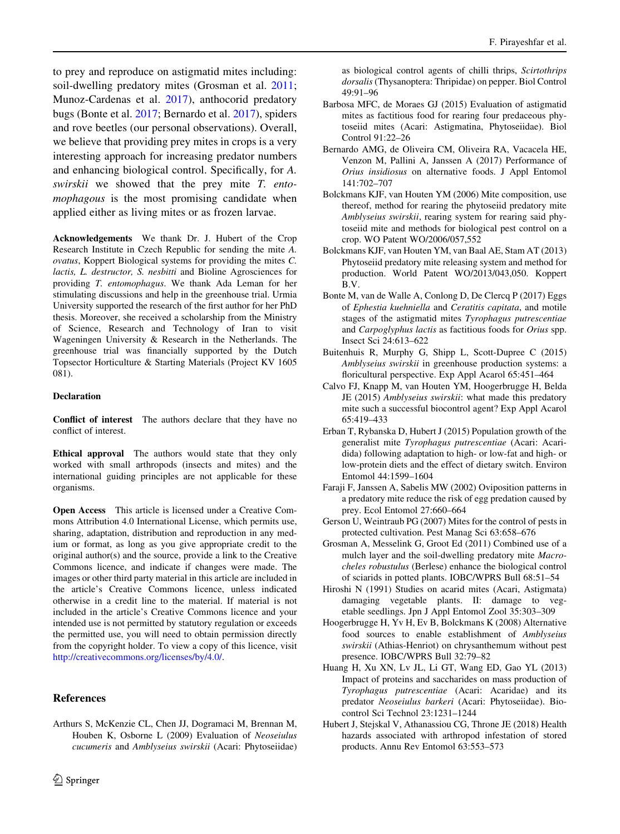<span id="page-9-0"></span>to prey and reproduce on astigmatid mites including: soil-dwelling predatory mites (Grosman et al. 2011; Munoz-Cardenas et al. [2017](#page-10-0)), anthocorid predatory bugs (Bonte et al. 2017; Bernardo et al. 2017), spiders and rove beetles (our personal observations). Overall, we believe that providing prey mites in crops is a very interesting approach for increasing predator numbers and enhancing biological control. Specifically, for A. swirskii we showed that the prey mite T. entomophagous is the most promising candidate when applied either as living mites or as frozen larvae.

Acknowledgements We thank Dr. J. Hubert of the Crop Research Institute in Czech Republic for sending the mite A. ovatus, Koppert Biological systems for providing the mites C. lactis, L. destructor, S. nesbitti and Bioline Agrosciences for providing T. entomophagus. We thank Ada Leman for her stimulating discussions and help in the greenhouse trial. Urmia University supported the research of the first author for her PhD thesis. Moreover, she received a scholarship from the Ministry of Science, Research and Technology of Iran to visit Wageningen University & Research in the Netherlands. The greenhouse trial was financially supported by the Dutch Topsector Horticulture & Starting Materials (Project KV 1605 081).

#### Declaration

Conflict of interest The authors declare that they have no conflict of interest.

Ethical approval The authors would state that they only worked with small arthropods (insects and mites) and the international guiding principles are not applicable for these organisms.

Open Access This article is licensed under a Creative Commons Attribution 4.0 International License, which permits use, sharing, adaptation, distribution and reproduction in any medium or format, as long as you give appropriate credit to the original author(s) and the source, provide a link to the Creative Commons licence, and indicate if changes were made. The images or other third party material in this article are included in the article's Creative Commons licence, unless indicated otherwise in a credit line to the material. If material is not included in the article's Creative Commons licence and your intended use is not permitted by statutory regulation or exceeds the permitted use, you will need to obtain permission directly from the copyright holder. To view a copy of this licence, visit <http://creativecommons.org/licenses/by/4.0/>.

# References

as biological control agents of chilli thrips, Scirtothrips dorsalis(Thysanoptera: Thripidae) on pepper. Biol Control 49:91–96

- Barbosa MFC, de Moraes GJ (2015) Evaluation of astigmatid mites as factitious food for rearing four predaceous phytoseiid mites (Acari: Astigmatina, Phytoseiidae). Biol Control 91:22–26
- Bernardo AMG, de Oliveira CM, Oliveira RA, Vacacela HE, Venzon M, Pallini A, Janssen A (2017) Performance of Orius insidiosus on alternative foods. J Appl Entomol 141:702–707
- Bolckmans KJF, van Houten YM (2006) Mite composition, use thereof, method for rearing the phytoseiid predatory mite Amblyseius swirskii, rearing system for rearing said phytoseiid mite and methods for biological pest control on a crop. WO Patent WO/2006/057,552
- Bolckmans KJF, van Houten YM, van Baal AE, Stam AT (2013) Phytoseiid predatory mite releasing system and method for production. World Patent WO/2013/043,050. Koppert B.V.
- Bonte M, van de Walle A, Conlong D, De Clercq P (2017) Eggs of Ephestia kuehniella and Ceratitis capitata, and motile stages of the astigmatid mites Tyrophagus putrescentiae and Carpoglyphus lactis as factitious foods for Orius spp. Insect Sci 24:613–622
- Buitenhuis R, Murphy G, Shipp L, Scott-Dupree C (2015) Amblyseius swirskii in greenhouse production systems: a floricultural perspective. Exp Appl Acarol 65:451–464
- Calvo FJ, Knapp M, van Houten YM, Hoogerbrugge H, Belda JE (2015) Amblyseius swirskii: what made this predatory mite such a successful biocontrol agent? Exp Appl Acarol 65:419–433
- Erban T, Rybanska D, Hubert J (2015) Population growth of the generalist mite Tyrophagus putrescentiae (Acari: Acaridida) following adaptation to high- or low-fat and high- or low-protein diets and the effect of dietary switch. Environ Entomol 44:1599–1604
- Faraji F, Janssen A, Sabelis MW (2002) Oviposition patterns in a predatory mite reduce the risk of egg predation caused by prey. Ecol Entomol 27:660–664
- Gerson U, Weintraub PG (2007) Mites for the control of pests in protected cultivation. Pest Manag Sci 63:658–676
- Grosman A, Messelink G, Groot Ed (2011) Combined use of a mulch layer and the soil-dwelling predatory mite Macrocheles robustulus (Berlese) enhance the biological control of sciarids in potted plants. IOBC/WPRS Bull 68:51–54
- Hiroshi N (1991) Studies on acarid mites (Acari, Astigmata) damaging vegetable plants. II: damage to vegetable seedlings. Jpn J Appl Entomol Zool 35:303–309
- Hoogerbrugge H, Yv H, Ev B, Bolckmans K (2008) Alternative food sources to enable establishment of Amblyseius swirskii (Athias-Henriot) on chrysanthemum without pest presence. IOBC/WPRS Bull 32:79–82
- Huang H, Xu XN, Lv JL, Li GT, Wang ED, Gao YL (2013) Impact of proteins and saccharides on mass production of Tyrophagus putrescentiae (Acari: Acaridae) and its predator Neoseiulus barkeri (Acari: Phytoseiidae). Biocontrol Sci Technol 23:1231–1244
- Hubert J, Stejskal V, Athanassiou CG, Throne JE (2018) Health hazards associated with arthropod infestation of stored products. Annu Rev Entomol 63:553–573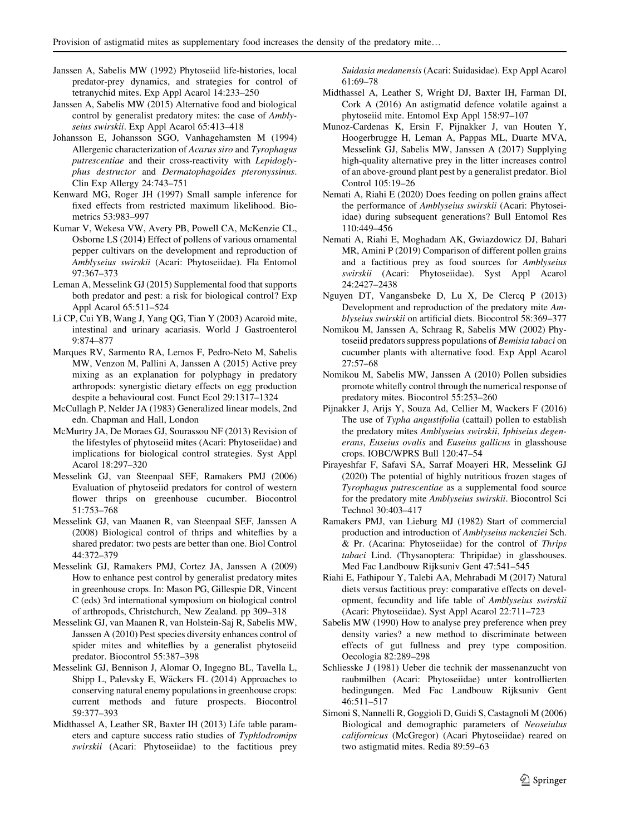- <span id="page-10-0"></span>Janssen A, Sabelis MW (1992) Phytoseiid life-histories, local predator-prey dynamics, and strategies for control of tetranychid mites. Exp Appl Acarol 14:233–250
- Janssen A, Sabelis MW (2015) Alternative food and biological control by generalist predatory mites: the case of Amblyseius swirskii. Exp Appl Acarol 65:413–418
- Johansson E, Johansson SGO, Vanhagehamsten M (1994) Allergenic characterization of Acarus siro and Tyrophagus putrescentiae and their cross-reactivity with Lepidoglyphus destructor and Dermatophagoides pteronyssinus. Clin Exp Allergy 24:743–751
- Kenward MG, Roger JH (1997) Small sample inference for fixed effects from restricted maximum likelihood. Biometrics 53:983–997
- Kumar V, Wekesa VW, Avery PB, Powell CA, McKenzie CL, Osborne LS (2014) Effect of pollens of various ornamental pepper cultivars on the development and reproduction of Amblyseius swirskii (Acari: Phytoseiidae). Fla Entomol 97:367–373
- Leman A, Messelink GJ (2015) Supplemental food that supports both predator and pest: a risk for biological control? Exp Appl Acarol 65:511–524
- Li CP, Cui YB, Wang J, Yang QG, Tian Y (2003) Acaroid mite, intestinal and urinary acariasis. World J Gastroenterol 9:874–877
- Marques RV, Sarmento RA, Lemos F, Pedro-Neto M, Sabelis MW, Venzon M, Pallini A, Janssen A (2015) Active prey mixing as an explanation for polyphagy in predatory arthropods: synergistic dietary effects on egg production despite a behavioural cost. Funct Ecol 29:1317–1324
- McCullagh P, Nelder JA (1983) Generalized linear models, 2nd edn. Chapman and Hall, London
- McMurtry JA, De Moraes GJ, Sourassou NF (2013) Revision of the lifestyles of phytoseiid mites (Acari: Phytoseiidae) and implications for biological control strategies. Syst Appl Acarol 18:297–320
- Messelink GJ, van Steenpaal SEF, Ramakers PMJ (2006) Evaluation of phytoseiid predators for control of western flower thrips on greenhouse cucumber. Biocontrol 51:753–768
- Messelink GJ, van Maanen R, van Steenpaal SEF, Janssen A (2008) Biological control of thrips and whiteflies by a shared predator: two pests are better than one. Biol Control 44:372–379
- Messelink GJ, Ramakers PMJ, Cortez JA, Janssen A (2009) How to enhance pest control by generalist predatory mites in greenhouse crops. In: Mason PG, Gillespie DR, Vincent C (eds) 3rd international symposium on biological control of arthropods, Christchurch, New Zealand. pp 309–318
- Messelink GJ, van Maanen R, van Holstein-Saj R, Sabelis MW, Janssen A (2010) Pest species diversity enhances control of spider mites and whiteflies by a generalist phytoseiid predator. Biocontrol 55:387–398
- Messelink GJ, Bennison J, Alomar O, Ingegno BL, Tavella L, Shipp L, Palevsky E, Wäckers FL (2014) Approaches to conserving natural enemy populations in greenhouse crops: current methods and future prospects. Biocontrol 59:377–393
- Midthassel A, Leather SR, Baxter IH (2013) Life table parameters and capture success ratio studies of Typhlodromips swirskii (Acari: Phytoseiidae) to the factitious prey

Suidasia medanensis (Acari: Suidasidae). Exp Appl Acarol 61:69–78

- Midthassel A, Leather S, Wright DJ, Baxter IH, Farman DI, Cork A (2016) An astigmatid defence volatile against a phytoseiid mite. Entomol Exp Appl 158:97–107
- Munoz-Cardenas K, Ersin F, Pijnakker J, van Houten Y, Hoogerbrugge H, Leman A, Pappas ML, Duarte MVA, Messelink GJ, Sabelis MW, Janssen A (2017) Supplying high-quality alternative prey in the litter increases control of an above-ground plant pest by a generalist predator. Biol Control 105:19–26
- Nemati A, Riahi E (2020) Does feeding on pollen grains affect the performance of Amblyseius swirskii (Acari: Phytoseiidae) during subsequent generations? Bull Entomol Res 110:449–456
- Nemati A, Riahi E, Moghadam AK, Gwiazdowicz DJ, Bahari MR, Amini P (2019) Comparison of different pollen grains and a factitious prey as food sources for Amblyseius swirskii (Acari: Phytoseiidae). Syst Appl Acarol 24:2427–2438
- Nguyen DT, Vangansbeke D, Lu X, De Clercq P (2013) Development and reproduction of the predatory mite Amblyseius swirskii on artificial diets. Biocontrol 58:369–377
- Nomikou M, Janssen A, Schraag R, Sabelis MW (2002) Phytoseiid predators suppress populations of Bemisia tabaci on cucumber plants with alternative food. Exp Appl Acarol 27:57–68
- Nomikou M, Sabelis MW, Janssen A (2010) Pollen subsidies promote whitefly control through the numerical response of predatory mites. Biocontrol 55:253–260
- Pijnakker J, Arijs Y, Souza Ad, Cellier M, Wackers F (2016) The use of Typha angustifolia (cattail) pollen to establish the predatory mites Amblyseius swirskii, Iphiseius degenerans, Euseius ovalis and Euseius gallicus in glasshouse crops. IOBC/WPRS Bull 120:47–54
- Pirayeshfar F, Safavi SA, Sarraf Moayeri HR, Messelink GJ (2020) The potential of highly nutritious frozen stages of Tyrophagus putrescentiae as a supplemental food source for the predatory mite Amblyseius swirskii. Biocontrol Sci Technol 30:403–417
- Ramakers PMJ, van Lieburg MJ (1982) Start of commercial production and introduction of Amblyseius mckenziei Sch. & Pr. (Acarina: Phytoseiidae) for the control of Thrips tabaci Lind. (Thysanoptera: Thripidae) in glasshouses. Med Fac Landbouw Rijksuniv Gent 47:541–545
- Riahi E, Fathipour Y, Talebi AA, Mehrabadi M (2017) Natural diets versus factitious prey: comparative effects on development, fecundity and life table of Amblyseius swirskii (Acari: Phytoseiidae). Syst Appl Acarol 22:711–723
- Sabelis MW (1990) How to analyse prey preference when prey density varies? a new method to discriminate between effects of gut fullness and prey type composition. Oecologia 82:289–298
- Schliesske J (1981) Ueber die technik der massenanzucht von raubmilben (Acari: Phytoseiidae) unter kontrollierten bedingungen. Med Fac Landbouw Rijksuniv Gent 46:511–517
- Simoni S, Nannelli R, Goggioli D, Guidi S, Castagnoli M (2006) Biological and demographic parameters of Neoseiulus californicus (McGregor) (Acari Phytoseiidae) reared on two astigmatid mites. Redia 89:59–63